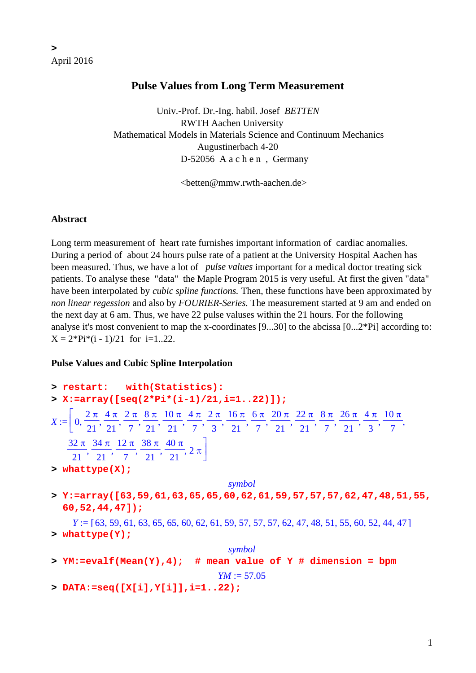# **Pulse Values from Long Term Measurement**

 Univ.-Prof. Dr.-Ing. habil. Josef *BETTEN* RWTH Aachen University Mathematical Models in Materials Science and Continuum Mechanics Augustinerbach 4-20 D-52056 A a c h e n , Germany

<betten@mmw.rwth-aachen.de>

#### **Abstract**

Long term measurement of heart rate furnishes important information of cardiac anomalies. During a period of about 24 hours pulse rate of a patient at the University Hospital Aachen has been measured. Thus, we have a lot of *pulse values* important for a medical doctor treating sick patients. To analyse these "data" the Maple Program 2015 is very useful. At first the given "data" have been interpolated by *cubic spline functions.* Then, these functions have been approximated by *non linear regession* and also by *FOURIER-Series.* The measurement started at 9 am and ended on the next day at 6 am. Thus, we have 22 pulse valuses within the 21 hours. For the following analyse it's most convenient to map the x-coordinates [9...30] to the abcissa [0...2\*Pi] according to:  $X = 2*Pi*(i - 1)/21$  for  $i=1..22$ .

#### **Pulse Values and Cubic Spline Interpolation**

**> restart: with(Statistics): > X:=array([seq(2\*Pi\*(i-1)/21,i=1..22)]);**  $X := | 0$  $2 \pi$ 21 4 π 21  $2 \pi$ 7 8 π 21 10 π 21 4 π 7  $2 \pi$ 3 16 π 21 6 π 7 20 π 21 22 π 21 8 π 7 26 π 21 4 π 3  $\mathcal{I} := \left[ 0, \frac{2\pi}{21}, \frac{4\pi}{21}, \frac{2\pi}{7}, \frac{8\pi}{21}, \frac{10\pi}{21}, \frac{4\pi}{7}, \frac{2\pi}{3}, \frac{16\pi}{21}, \frac{6\pi}{7}, \frac{20\pi}{21}, \frac{22\pi}{21}, \frac{8\pi}{7}, \frac{26\pi}{21}, \frac{4\pi}{3}, \frac{10\pi}{7}, \frac{10\pi}{31}, \frac{10\pi}{31}, \frac{10\pi}{31}, \frac{10\pi}{31}, \frac{10\pi}{31}, \frac{$ 32 π 21 34 π 21 12 π 7 38 π 21 40 π  $\frac{1}{21},\frac{1}{7},\frac{1}{21},\frac{1}{21},\frac{1}{21},2\pi$ ⎤  $\overline{\phantom{a}}$ **> whattype(X);** *symbol* **> Y:=array([63,59,61,63,65,65,60,62,61,59,57,57,57,62,47,48,51,55, 60,52,44,47]);**  $Y := [63, 59, 61, 63, 65, 65, 60, 62, 61, 59, 57, 57, 62, 47, 48, 51, 55, 60, 52, 44, 47]$ **> whattype(Y);** *symbol* **> YM:=evalf(Mean(Y),4); # mean value of Y # dimension = bpm**  $YM := 57.05$ 

**> DATA:=seq([X[i],Y[i]],i=1..22);**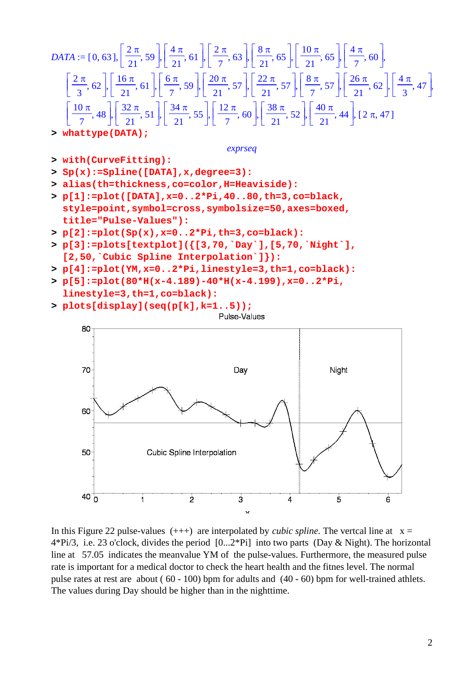$$
DATA := [0, 63], \left[\frac{2\pi}{21}, 59\right], \left[\frac{4\pi}{21}, 61\right], \left[\frac{2\pi}{7}, 63\right], \left[\frac{8\pi}{21}, 65\right], \left[\frac{10\pi}{21}, 65\right], \left[\frac{4\pi}{7}, 60\right],
$$
\n
$$
\left[\frac{2\pi}{3}, 62\right], \left[\frac{16\pi}{21}, 61\right], \left[\frac{6\pi}{7}, 59\right], \left[\frac{20\pi}{21}, 57\right], \left[\frac{22\pi}{21}, 57\right], \left[\frac{8\pi}{7}, 57\right], \left[\frac{26\pi}{21}, 62\right], \left[\frac{4\pi}{3}, 47\right],
$$
\n
$$
\left[\frac{10\pi}{7}, 48\right], \left[\frac{32\pi}{21}, 51\right], \left[\frac{34\pi}{21}, 55\right], \left[\frac{12\pi}{7}, 60\right], \left[\frac{38\pi}{21}, 52\right], \left[\frac{40\pi}{21}, 44\right], [2\pi, 47]
$$

**> whattype(DATA);**

80

```
exprseq
```
- **> with(CurveFitting):**
- **> Sp(x):=Spline([DATA],x,degree=3):**
- **> alias(th=thickness,co=color,H=Heaviside):**
- **> p[1]:=plot([DATA],x=0..2\*Pi,40..80,th=3,co=black, style=point,symbol=cross,symbolsize=50,axes=boxed, title="Pulse-Values"):**
- **> p[2]:=plot(Sp(x),x=0..2\*Pi,th=3,co=black):**
- **> p[3]:=plots[textplot]({[3,70,`Day`],[5,70,`Night`], [2,50,`Cubic Spline Interpolation`]}):**
- **> p[4]:=plot(YM,x=0..2\*Pi,linestyle=3,th=1,co=black):**
- **> p[5]:=plot(80\*H(x-4.189)-40\*H(x-4.199),x=0..2\*Pi, linestyle=3,th=1,co=black):**
- **> plots[display](seq(p[k],k=1..5));**





In this Figure 22 pulse-values  $(++)$  are interpolated by *cubic spline*. The vertcal line at  $x =$ 4\*Pi/3, i.e. 23 o'clock, divides the period [0...2\*Pi] into two parts (Day & Night). The horizontal line at 57.05 indicates the meanvalue YM of the pulse-values. Furthermore, the measured pulse rate is important for a medical doctor to check the heart health and the fitnes level. The normal pulse rates at rest are about ( 60 - 100) bpm for adults and (40 - 60) bpm for well-trained athlets. The values during Day should be higher than in the nighttime.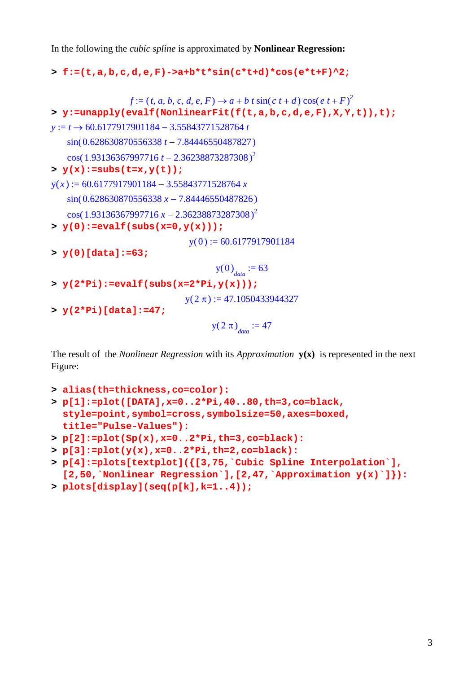In the following the *cubic spline* is approximated by **Nonlinear Regression:**

```
> f:=(t,a,b,c,d,e,F)->a+b*t*sin(c*t+d)*cos(e*t+F)^2;
```

```
f := (t, a, b, c, d, e, F) \rightarrow a + b t \sin(c t + d) \cos(e t + F)^2> y:=unapply(evalf(NonlinearFit(f(t,a,b,c,d,e,F),X,Y,t)),t);
y := t → 60.6177917901184 – 3.55843771528764 t
   sin(0.628630870556338 t − 7.84446550487827)
   cos(1.93136367997716 t − 2.36238873287308)<sup>2</sup>
> y(x):=subs(t=x,y(t));
y(x) := 60.6177917901184 - 3.55843771528764 xsin( 0.628630870556338 x − 7.84446550487826)
   \cos(1.93136367997716 x - 2.36238873287308)^2> y(0):=evalf(subs(x=0,y(x)));
                                y(0) := 60.6177917901184> y(0)[data]:=63;
                                      y(0)<sub>data</sub> := 63
> y(2*Pi):=evalf(subs(x=2*Pi,y(x)));
                               y( 2 \pi ) := 47.1050433944327> y(2*Pi)[data]:=47;
                                     y(2 \pi)<sub>data</sub> := 47
```
The result of the *Nonlinear Regression* with its *Approximation* **y(x)** is represented in the next Figure:

```
> alias(th=thickness,co=color):
```

```
> p[1]:=plot([DATA],x=0..2*Pi,40..80,th=3,co=black, 
 style=point,symbol=cross,symbolsize=50,axes=boxed, 
 title="Pulse-Values"):
```

```
> p[2]:=plot(Sp(x),x=0..2*Pi,th=3,co=black):
```

```
> p[3]:=plot(y(x),x=0..2*Pi,th=2,co=black):
```
- **> p[4]:=plots[textplot]({[3,75,`Cubic Spline Interpolation`], [2,50,`Nonlinear Regression`],[2,47,`Approximation y(x)`]}):**
- **> plots[display](seq(p[k],k=1..4));**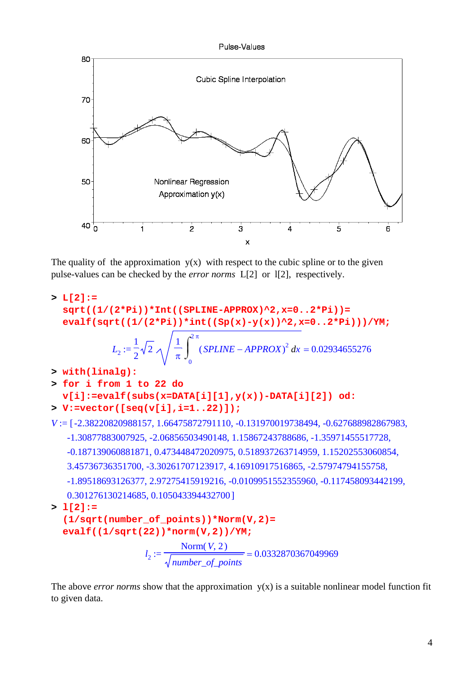Pulse-Values



The quality of the approximation  $y(x)$  with respect to the cubic spline or to the given pulse-values can be checked by the *error norms* L[2] or l[2], respectively.

```
> L[2]:= 
  sqrt((1/(2*Pi))*Int((SPLINE-APPROX)^2,x=0..2*Pi))= 
  evalf(sqrt((1/(2*Pi))*int((Sp(x)-y(x))^2,x=0..2*Pi)))/YM; 
              L_2 := \frac{1}{2} \sqrt{2} \sqrt{\frac{1}{\pi}} (SPLINE – APPROX)<sup>2</sup> dx =
                  1
                  2
                      2
                            1
                            π
                              \int_{0}^{2\pi} (SPLINE – APPROX)<sup>2</sup> d
                              \int\bf{0}2 π
                                 (SPLINE - APPROX)^2 dx = 0.02934655276> with(linalg):
> for i from 1 to 22 do 
  v[i]:=evalf(subs(x=DATA[i][1],y(x))-DATA[i][2]) od:
> V:=vector([seq(v[i],i=1..22)]);
V := [-2.38220820988157, 1.66475872791110, -0.131970019738494, -0.627688982867983,-1.30877883007925, -2.06856503490148, 1.15867243788686, -1.35971455517728,
   -0.187139060881871, 0.473448472020975, 0.518937263714959, 1.15202553060854,
   3.45736736351700, -3.30261707123917, 4.16910917516865, -2.57974794155758,
   -1.89518693126377, 2.97275415919216, -0.0109951552355960, -0.117458093442199,
   0.301276130214685, 0.105043394432700 ]
> l[2]:= 
  (1/sqrt(number_of_points))*Norm(V,2)=
```

```
evalf((1/sqrt(22))*norm(V,2))/YM;
```

```
l_2 := \frac{2 \times 10^{-4} \text{ cm} (19.2)}{10^{24} \text{ cm}^2} =Norm(V, 2)number_of_points
                                         0.0332870367049969
```
The above *error norms* show that the approximation  $y(x)$  is a suitable nonlinear model function fit to given data.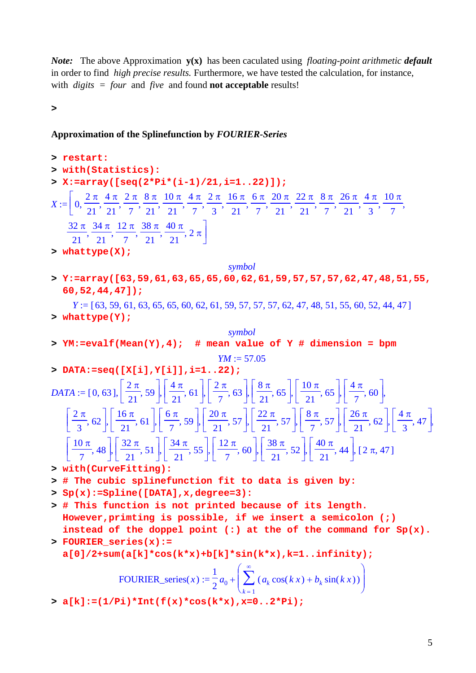*Note:* The above Approximation **y(x)** has been caculated using *floating-point arithmetic default*  in order to find *high precise results.* Furthermore, we have tested the calculation, for instance, with *digits = four* and *five* and found **not acceptable** results!

**>** 

## **Approximation of the Splinefunction by** *FOURIER-Series*

> restart:  
\n> with (Statistics):  
\n
$$
X := \left[0, \frac{2\pi}{21}, \frac{4\pi}{11}, \frac{2\pi}{11}, \frac{8\pi}{11}, \frac{10\pi}{11}, \frac{4\pi}{11}, \frac{2\pi}{11}, \frac{16\pi}{11}, \frac{6\pi}{11}, \frac{20\pi}{11}, \frac{22\pi}{11}, \frac{8\pi}{11}, \frac{26\pi}{11}, \frac{4\pi}{11}, \frac{10\pi}{11}, \frac{10\pi}{11}, \frac{32\pi}{11}, \frac{34\pi}{11}, \frac{12\pi}{11}, \frac{38\pi}{11}, \frac{40\pi}{11}, 2\pi\right]
$$
  
\n $\frac{32\pi}{21}, \frac{34\pi}{21}, \frac{12\pi}{21}, \frac{38\pi}{21}, \frac{40\pi}{21}, 2\pi\right]$   
\n>whattype(X);  
\n $Y := \text{array}((63,59,61,63,65,65,60,62,61,59,57,57,57,62,47,48,51,55,60,52,44,47]);$   
\n $Y := (63,59,61,63,65,65,60,62,61,59,57,57,57,62,47,48,51,55,60,52,44,47]$   
\n>whattype(Y);  
\n $YN := \text{evalf}(\text{Mean}(Y), 4); \text{ # mean value of Y # dimension = bpm$   
\n $YM := \text{evalf}(\text{Mean}(Y), 4); \text{ # mean value of Y # dimension = bpm$   
\n $YM := (0,63], [\frac{2\pi}{21}, 59], [\frac{4\pi}{21}, 61], [\frac{2\pi}{7}, 63], [\frac{8\pi}{21}, 65], [\frac{10\pi}{21}, 65], [\frac{4\pi}{7}, 60], [\frac{2\pi}{3}, 62], [\frac{16\pi}{21}, 61], [\frac{6\pi}{7}, 59], [\frac{20\pi}{21}, 57], [\frac{22\pi}{21}, 57], [\frac{8\pi}{7}, 57],$ 

**> FOURIER\_series(x):= a[0]/2+sum(a[k]\*cos(k\*x)+b[k]\*sin(k\*x),k=1..infinity);**

FOURIER\_series(x) := 
$$
\frac{1}{2}a_0 + \left(\sum_{k=1}^{\infty} (a_k \cos(kx) + b_k \sin(kx))\right)
$$

**> a[k]:=(1/Pi)\*Int(f(x)\*cos(k\*x),x=0..2\*Pi);**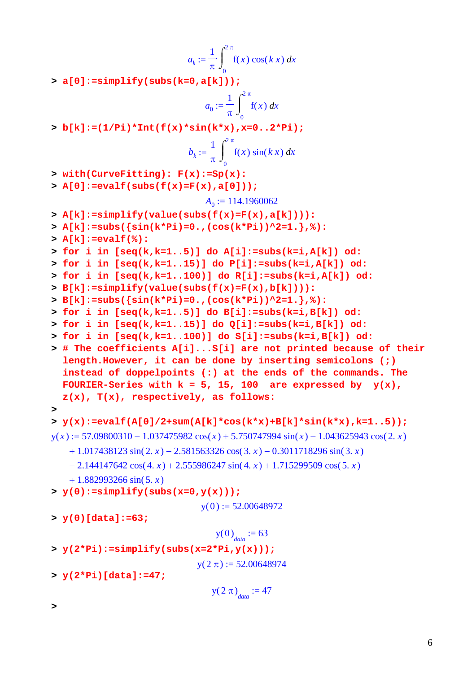$$
a_k := \frac{1}{\pi} \int_0^{2\pi} f(x) \cos(kx) dx
$$

**> a[0]:=simplify(subs(k=0,a[k]));**

$$
a_0 := \frac{1}{\pi} \int_0^{2\pi} f(x) \, dx
$$

**> b[k]:=(1/Pi)\*Int(f(x)\*sin(k\*x),x=0..2\*Pi);**

$$
b_k := \frac{1}{\pi} \int_0^{2\pi} f(x) \sin(kx) dx
$$

**> with(CurveFitting): F(x):=Sp(x):**

**> A[0]:=evalf(subs(f(x)=F(x),a[0]));**

$$
A_0 := 114.1960062
$$

- **> A[k]:=simplify(value(subs(f(x)=F(x),a[k]))):**
- **> A[k]:=subs({sin(k\*Pi)=0.,(cos(k\*Pi))^2=1.},%):**
- **> A[k]:=evalf(%):**

```
> for i in [seq(k,k=1..5)] do A[i]:=subs(k=i,A[k]) od:
```
**> for i in [seq(k,k=1..15)] do P[i]:=subs(k=i,A[k]) od:**

```
> for i in [seq(k,k=1..100)] do R[i]:=subs(k=i,A[k]) od:
```

```
> B[k]:=simplify(value(subs(f(x)=F(x),b[k]))):
```

```
> B[k]:=subs({sin(k*Pi)=0.,(cos(k*Pi))^2=1.},%):
```

```
> for i in [seq(k,k=1..5)] do B[i]:=subs(k=i,B[k]) od:
```

```
> for i in [seq(k,k=1..15)] do Q[i]:=subs(k=i,B[k]) od:
```
- **> for i in [seq(k,k=1..100)] do S[i]:=subs(k=i,B[k]) od:**
- **> # The coefficients A[i]...S[i] are not printed because of their length.However, it can be done by inserting semicolons (;) instead of doppelpoints (:) at the ends of the commands. The**  FOURIER-Series with  $k = 5$ , 15, 100 are expressed by  $y(x)$ , **z(x), T(x), respectively, as follows:**
- **>**

```
> y(x):=evalf(A[0]/2+sum(A[k]*cos(k*x)+B[k]*sin(k*x),k=1..5));
```

```
y(x) := 57.09800310 - 1.037475982 \cos(x) + 5.750747994 \sin(x) - 1.043625943 \cos(2, x)
```

```
+ 1.017438123 \sin(2 \cdot x) - 2.581563326 \cos(3 \cdot x) - 0.3011718296 \sin(3 \cdot x)
```
 $- 2.144147642 \cos(4 \cdot x) + 2.555986247 \sin(4 \cdot x) + 1.715299509 \cos(5 \cdot x)$ 

```
+ 1.882993266 \sin(5, x)
```

```
> y(0):=simplify(subs(x=0,y(x)));
```

```
y(0) := 52.00648972
```
**> y(0)[data]:=63;**

```
y(0)<sub>data</sub> := 63
```

```
> y(2*Pi):=simplify(subs(x=2*Pi,y(x)));
```
 $y( 2 \pi ) := 52.00648974$ 

**> y(2\*Pi)[data]:=47;**

$$
y(2 \pi)_{data} := 47
$$

**>**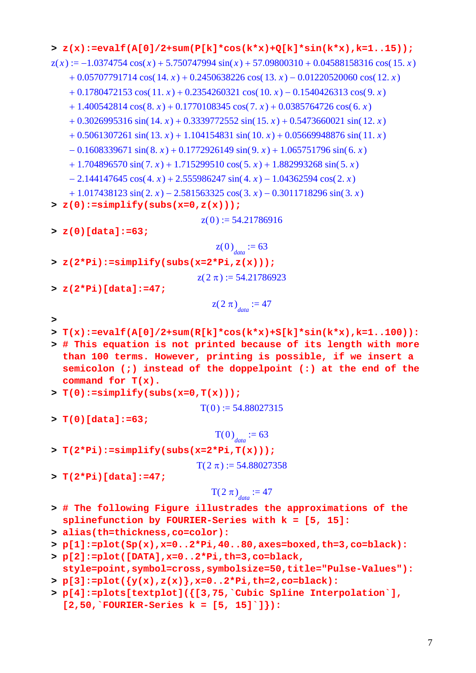```
> z(x):=evalf(A[0]/2+sum(P[k]*cos(k*x)+Q[k]*sin(k*x),k=1..15));
z(x) := -1.0374754 \cos(x) + 5.750747994 \sin(x) + 57.09800310 + 0.04588158316 \cos(15. x)+ 0.05707791714 \cos(14. x) + 0.2450638226 \cos(13. x) - 0.01220520060 \cos(12. x)+ 0.1780472153 \cos(11. x) + 0.2354260321 \cos(10. x) - 0.1540426313 \cos(9. x)+ 1.400542814 \cos(8. x) + 0.1770108345 \cos(7. x) + 0.0385764726 \cos(6. x)+ 0.3026995316 \sin( 14. x) + 0.3339772552 \sin( 15. x) + 0.5473660021 \sin( 12. x)+ 0.5061307261 \sin(13, x) + 1.104154831 \sin(10, x) + 0.05669948876 \sin(11, x)-0.1608339671 \sin(8. x) + 0.1772926149 \sin(9. x) + 1.065751796 \sin(6. x)+ 1.704896570 \sin(7, x) + 1.715299510 \cos(5, x) + 1.882993268 \sin(5, x)- 2.144147645 \cos(4 \cdot x) + 2.555986247 \sin(4 \cdot x) - 1.04362594 \cos(2 \cdot x)+ 1.017438123 \sin(2 \cdot x) - 2.581563325 \cos(3 \cdot x) - 0.3011718296 \sin(3 \cdot x)> z(0):=simplify(subs(x=0,z(x)));
                                    z( 0 ) := 54.21786916
```
**> z(0)[data]:=63;**

$$
z(0)_{data} := 63
$$
  
> z(2\*Pi):=simplys(x=2\*Pi, z(x)));  

$$
z(2\pi) := 54.21786923
$$

> 
$$
z(2*Pi)[data]:=47;
$$

$$
z(2 \pi)_{data} := 47
$$

- **>**
- **> T(x):=evalf(A[0]/2+sum(R[k]\*cos(k\*x)+S[k]\*sin(k\*x),k=1..100)):**
- **> # This equation is not printed because of its length with more than 100 terms. However, printing is possible, if we insert a semicolon (;) instead of the doppelpoint (:) at the end of the command for T(x).**

```
> T(0):=simplify(subs(x=0,T(x)));
```

$$
T(0) := 54.88027315
$$

**> T(0)[data]:=63;**

$$
T(0)_{data} := 63
$$

**> T(2\*Pi):=simplify(subs(x=2\*Pi,T(x)));**

$$
T(2 \pi) := 54.88027358
$$

**> T(2\*Pi)[data]:=47;**

$$
T(2 \pi)_{data} := 47
$$

- **> # The following Figure illustrades the approximations of the splinefunction by FOURIER-Series with k = [5, 15]:**
- **> alias(th=thickness,co=color):**
- **> p[1]:=plot(Sp(x),x=0..2\*Pi,40..80,axes=boxed,th=3,co=black):**
- **> p[2]:=plot([DATA],x=0..2\*Pi,th=3,co=black, style=point,symbol=cross,symbolsize=50,title="Pulse-Values"):**
- **> p[3]:=plot({y(x),z(x)},x=0..2\*Pi,th=2,co=black):**
- **> p[4]:=plots[textplot]({[3,75,`Cubic Spline Interpolation`], [2,50,`FOURIER-Series k = [5, 15]`]}):**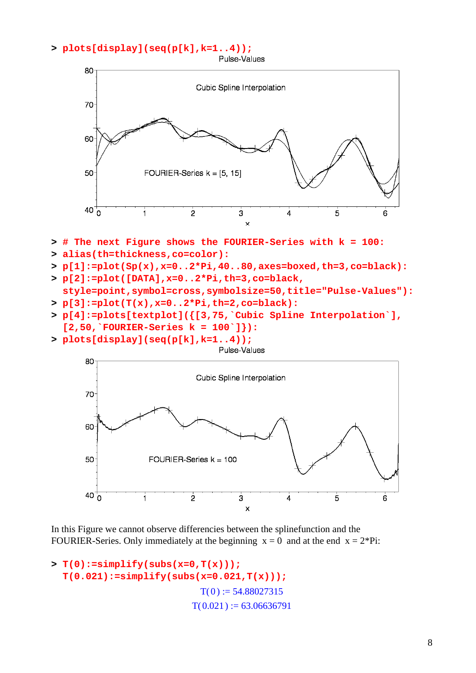#### **> plots[display](seq(p[k],k=1..4));**



- **> # The next Figure shows the FOURIER-Series with k = 100:**
- **> alias(th=thickness,co=color):**
- **> p[1]:=plot(Sp(x),x=0..2\*Pi,40..80,axes=boxed,th=3,co=black):**
- **> p[2]:=plot([DATA],x=0..2\*Pi,th=3,co=black, style=point,symbol=cross,symbolsize=50,title="Pulse-Values"):**
- **> p[3]:=plot(T(x),x=0..2\*Pi,th=2,co=black):**
- **> p[4]:=plots[textplot]({[3,75,`Cubic Spline Interpolation`], [2,50,`FOURIER-Series k = 100`]}):**
- **> plots[display](seq(p[k],k=1..4));**



In this Figure we cannot observe differencies between the splinefunction and the FOURIER-Series. Only immediately at the beginning  $x = 0$  and at the end  $x = 2*Pi$ :

```
> T(0):=simplify(subs(x=0,T(x))); 
  T(0.021):=simplify(subs(x=0.021,T(x)));
                             T(0) := 54.88027315T( 0.021 ) := 63.06636791
```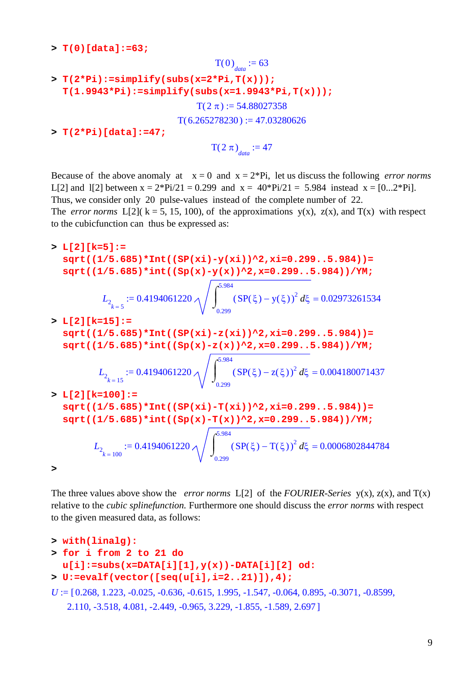**> T(0)[data]:=63;**

```
T(0)<sub>data</sub> := 63
> T(2*Pi):=simplify(subs(x=2*Pi,T(x))); 
  T(1.9943*Pi):=simplify(subs(x=1.9943*Pi,T(x)));
                                 T(2 \pi) := 54.88027358T(6.265278230) := 47.03280626> T(2*Pi)[data]:=47;
                                    T(2 \pi)<sub>data</sub> := 47
```
Because of the above anomaly at  $x = 0$  and  $x = 2*Pi$ , let us discuss the following *error norms* L[2] and I[2] between  $x = 2^{*}Pi/21 = 0.299$  and  $x = 40^{*}Pi/21 = 5.984$  instead  $x = [0...2^{*}Pi]$ . Thus, we consider only 20 pulse-values instead of the complete number of 22. The *error norms* L[2]( $k = 5$ , 15, 100), of the approximations y(x), z(x), and T(x) with respect to the cubicfunction can thus be expressed as:

**> L[2][k=5]:= sqrt((1/5.685)\*Int((SP(xi)-y(xi))^2,xi=0.299..5.984))= sqrt((1/5.685)\*int((Sp(x)-y(x))^2,x=0.299..5.984))/YM;**  $L_{2_{k=5}} :=$  $0.4194061220 \wedge$  |  $(SP(\xi) - y(\xi))^2 d\xi =$  $\int$  $\int$ 0.299 5.984  $(SP(\xi) - y(\xi))^2 d\xi = 0.02973261534$ **> L[2][k=15]:= sqrt((1/5.685)\*Int((SP(xi)-z(xi))^2,xi=0.299..5.984))= sqrt((1/5.685)\*int((Sp(x)-z(x))^2,x=0.299..5.984))/YM;**  $L_{2_{k=15}} :=$  $0.4194061220 \wedge$  |  $(SP(\xi) - z(\xi))^2 d\xi =$  $\int$  $\int$ 0.299 5.984  $(SP(\xi) - z(\xi))^2 d\xi = 0.004180071437$ **> L[2][k=100]:= sqrt((1/5.685)\*Int((SP(xi)-T(xi))^2,xi=0.299..5.984))= sqrt((1/5.685)\*int((Sp(x)-T(x))^2,x=0.299..5.984))/YM;**  $L_{2_{k=100}} :=$  $0.4194061220 \wedge$   $\left( \text{SP}(\xi) - \text{T}(\xi) \right)^2 d\xi =$  $\int$  $\int$ 0.299 5.984  $(SP(\xi) - T(\xi))^2 d\xi = 0.0006802844784$ **>** 

The three values above show the *error norms* L[2] of the *FOURIER-Series* y(x), z(x), and T(x) relative to the *cubic splinefunction.* Furthermore one should discuss the *error norms* with respect to the given measured data, as follows:

```
> with(linalg):
> for i from 2 to 21 do 
  u[i]:=subs(x=DATA[i][1],y(x))-DATA[i][2] od:
> U:=evalf(vector([seq(u[i],i=2..21)]),4);
U := [0.268, 1.223, -0.025, -0.636, -0.615, 1.995, -1.547, -0.064, 0.895, -0.3071, -0.8599,2.110, -3.518, 4.081, -2.449, -0.965, 3.229, -1.855, -1.589, 2.697]
```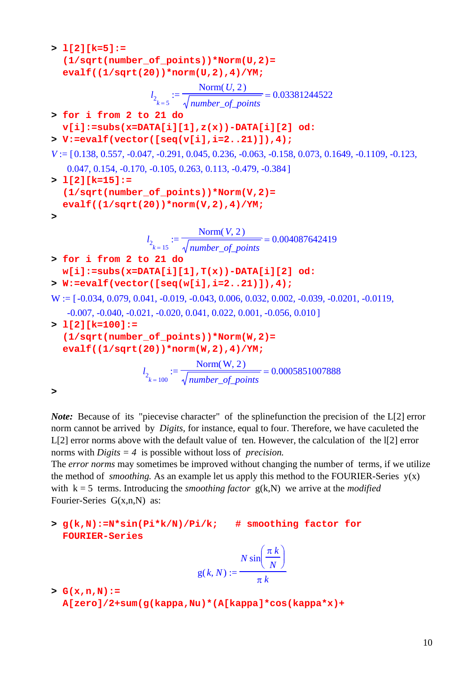```
> l[2][k=5]:= 
  (1/sqrt(number_of_points))*Norm(U,2)= 
  evalf((1/sqrt(20))*norm(U,2),4)/YM;
                     l_{2_{k=5}} := = 
                                Norm(U, 2)number_of_points
                                                0.03381244522
> for i from 2 to 21 do 
  v[i]:=subs(x=DATA[i][1],z(x))-DATA[i][2] od:
> V:=evalf(vector([seq(v[i],i=2..21)]),4);
V := [0.138, 0.557, -0.047, -0.291, 0.045, 0.236, -0.063, -0.158, 0.073, 0.1649, -0.1109, -0.123,0.047, 0.154, -0.170, -0.105, 0.263, 0.113, -0.479, -0.384> l[2][k=15]:= 
  (1/sqrt(number_of_points))*Norm(V,2)= 
  evalf((1/sqrt(20))*norm(V,2),4)/YM;
> 
                    l_{2_k} := :=
                                              = 
                               Norm(V, 2)number_of_points
                                               0.004087642419
> for i from 2 to 21 do 
  w[i]:=subs(x=DATA[i][1],T(x))-DATA[i][2] od:
> W:=evalf(vector([seq(w[i],i=2..21)]),4);
W := [-0.034, 0.079, 0.041, -0.019, -0.043, 0.006, 0.032, 0.002, -0.039, -0.0201, -0.0119,-0.007, -0.040, -0.021, -0.020, 0.041, 0.022, 0.001, -0.056, 0.010> l[2][k=100]:= 
  (1/sqrt(number_of_points))*Norm(W,2)= 
  evalf((1/sqrt(20))*norm(W,2),4)/YM;
                   l_{2_k} := 100} :=
                                              = 
                               Norm(W, 2)number_of_points
                                               0.0005851007888
>
```
*Note*: Because of its "piecevise character" of the splinefunction the precision of the L[2] error norm cannot be arrived by *Digits,* for instance, equal to four. Therefore, we have caculeted the L[2] error norms above with the default value of ten. However, the calculation of the l[2] error norms with *Digits = 4* is possible without loss of *precision.* 

The *error norms* may sometimes be improved without changing the number of terms, if we utilize the method of *smoothing*. As an example let us apply this method to the FOURIER-Series  $y(x)$ with  $k = 5$  terms. Introducing the *smoothing factor*  $g(k, N)$  we arrive at the *modified* Fourier-Series G(x,n,N) as:

**> g(k,N):=N\*sin(Pi\*k/N)/Pi/k; # smoothing factor for FOURIER-Series**

$$
g(k, N) := \frac{N \sin\left(\frac{\pi k}{N}\right)}{\pi k}
$$

**> G(x,n,N):=** 

**A[zero]/2+sum(g(kappa,Nu)\*(A[kappa]\*cos(kappa\*x)+**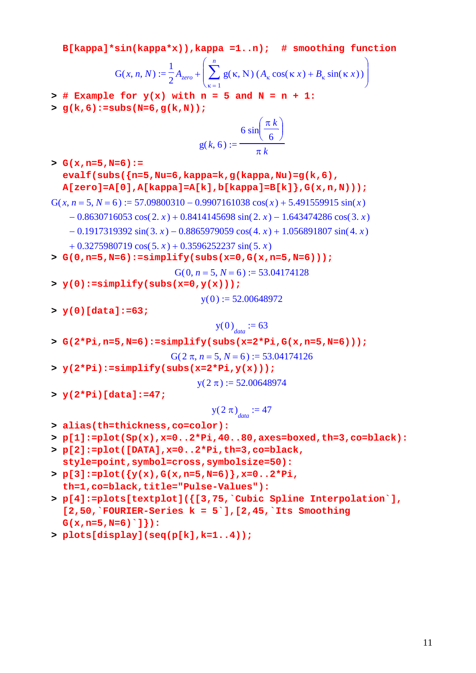**B[kappa]\*sin(kappa\*x)),kappa =1..n); # smoothing function**

$$
G(x, n, N) := \frac{1}{2} A_{zero} + \left( \sum_{\kappa=1}^{n} g(\kappa, N) \left( A_{\kappa} \cos(\kappa x) + B_{\kappa} \sin(\kappa x) \right) \right)
$$

- $>$  # Example for  $y(x)$  with  $n = 5$  and  $N = n + 1$ :
- **> g(k,6):=subs(N=6,g(k,N));**

$$
g(k, 6) := \frac{6 \sin\left(\frac{\pi k}{6}\right)}{\pi k}
$$

**> G(x,n=5,N=6):= evalf(subs({n=5,Nu=6,kappa=k,g(kappa,Nu)=g(k,6), A[zero]=A[0],A[kappa]=A[k],b[kappa]=B[k]},G(x,n,N)));**

$$
G(x, n = 5, N = 6) := 57.09800310 - 0.9907161038 \cos(x) + 5.491559915 \sin(x)
$$

- $-0.8630716053 \cos(2 \cdot x) + 0.8414145698 \sin(2 \cdot x) 1.643474286 \cos(3 \cdot x)$
- $-0.1917319392 \sin(3, x) 0.8865979059 \cos(4, x) + 1.056891807 \sin(4, x)$

$$
+ 0.3275980719 \cos(5x) + 0.3596252237 \sin(5x)
$$

**> G(0,n=5,N=6):=simplify(subs(x=0,G(x,n=5,N=6)));**

$$
G(0, n = 5, N = 6) := 53.04174128
$$

**> y(0):=simplify(subs(x=0,y(x)));**

 $y(0) := 52.00648972$ 

**> y(0)[data]:=63;**

$$
y(0)_{data} := 63
$$

**> G(2\*Pi,n=5,N=6):=simplify(subs(x=2\*Pi,G(x,n=5,N=6)));**

$$
G(2 \pi, n = 5, N = 6) := 53.04174126
$$

**> y(2\*Pi):=simplify(subs(x=2\*Pi,y(x)));**

 $y( 2 \pi ) := 52.00648974$ 

**> y(2\*Pi)[data]:=47;**

$$
y(2\pi)_{data} := 47
$$

- **> alias(th=thickness,co=color):**
- **> p[1]:=plot(Sp(x),x=0..2\*Pi,40..80,axes=boxed,th=3,co=black):**
- **> p[2]:=plot([DATA],x=0..2\*Pi,th=3,co=black, style=point,symbol=cross,symbolsize=50):**
- **> p[3]:=plot({y(x),G(x,n=5,N=6)},x=0..2\*Pi, th=1,co=black,title="Pulse-Values"):**
- **> p[4]:=plots[textplot]({[3,75,`Cubic Spline Interpolation`], [2,50,`FOURIER-Series k = 5`],[2,45,`Its Smoothing G(x,n=5,N=6)`]}):**
- **> plots[display](seq(p[k],k=1..4));**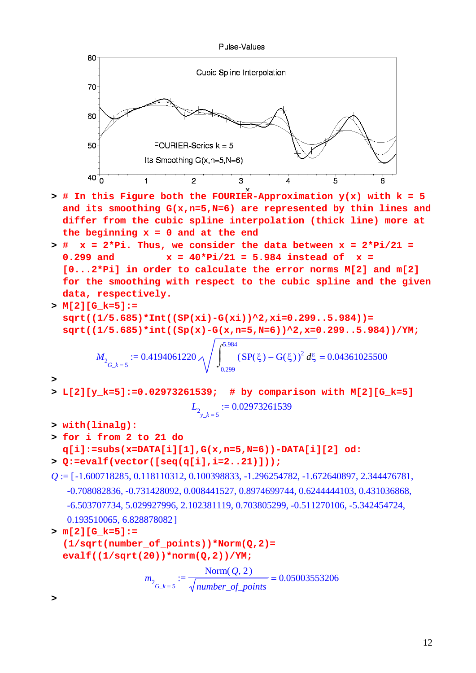

- **> # In this Figure both the FOURIER-Approximation y(x) with k = 5 and its smoothing G(x,n=5,N=6) are represented by thin lines and differ from the cubic spline interpolation (thick line) more at the beginning x = 0 and at the end**
- **> # x = 2\*Pi. Thus, we consider the data between x = 2\*Pi/21 = 0.299 and x = 40\*Pi/21 = 5.984 instead of x = [0...2\*Pi] in order to calculate the error norms M[2] and m[2] for the smoothing with respect to the cubic spline and the given data, respectively.**
- **> M[2][G\_k=5]:= sqrt((1/5.685)\*Int((SP(xi)-G(xi))^2,xi=0.299..5.984))= sqrt((1/5.685)\*int((Sp(x)-G(x,n=5,N=6))^2,x=0.299..5.984))/YM;**

$$
M_{2_{G_k = 5}} := 0.4194061220 \sqrt{\int_{0.299}^{5.984} (SP(\xi) - G(\xi))^2 d\xi} = 0.04361025500
$$

- **> L[2][y\_k=5]:=0.02973261539; # by comparison with M[2][G\_k=5]**  $L_{2}$  := 0.02973261539
- **> with(linalg):**
- **> for i from 2 to 21 do q[i]:=subs(x=DATA[i][1],G(x,n=5,N=6))-DATA[i][2] od:**
- **> Q:=evalf(vector([seq(q[i],i=2..21)]));**
- $Q := [-1.600718285, 0.118110312, 0.100398833, -1.296254782, -1.672640897, 2.344476781,$ -0.708082836, -0.731428092, 0.008441527, 0.8974699744, 0.6244444103, 0.431036868, -6.503707734, 5.029927996, 2.102381119, 0.703805299, -0.511270106, -5.342454724, 0.193510065, 6.828878082]
- **> m[2][G\_k=5]:= (1/sqrt(number\_of\_points))\*Norm(Q,2)= evalf((1/sqrt(20))\*norm(Q,2))/YM;**

$$
m_2_{G_k = 5} := \frac{\text{Norm}(Q, 2)}{\sqrt{\text{number\_of\_points}}} = 0.05003553206
$$

**>** 

**>**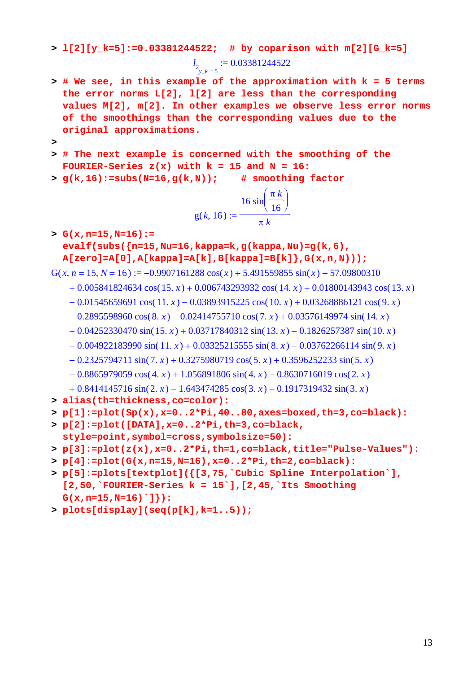#### **> l[2][y\_k=5]:=0.03381244522; # by coparison with m[2][G\_k=5]**

 $l_{2}$  := 0.03381244522

- **> # We see, in this example of the approximation with k = 5 terms the error norms L[2], l[2] are less than the corresponding values M[2], m[2]. In other examples we observe less error norms of the smoothings than the corresponding values due to the original approximations.**
- **>**
- **> # The next example is concerned with the smoothing of the FOURIER-Series z(x) with k = 15 and N = 16:**
- **> g(k,16):=subs(N=16,g(k,N)); # smoothing factor**

$$
g(k, 16) := \frac{16 \sin\left(\frac{\pi k}{16}\right)}{\pi k}
$$

**> G(x,n=15,N=16):= evalf(subs({n=15,Nu=16,kappa=k,g(kappa,Nu)=g(k,6), A[zero]=A[0],A[kappa]=A[k],B[kappa]=B[k]},G(x,n,N)));**

 $G(x, n = 15, N = 16) := -0.9907161288 \cos(x) + 5.491559855 \sin(x) + 57.09800310$ 

- $+ 0.005841824634 \cos(15. x) + 0.006743293932 \cos(14. x) + 0.01800143943 \cos(13. x)$
- $-0.01545659691 \cos(11, x) 0.03893915225 \cos(10, x) + 0.03268886121 \cos(9, x)$
- $-0.2895598960 \cos(8. x) 0.02414755710 \cos(7. x) + 0.03576149974 \sin(14. x)$
- $+ 0.04252330470 \sin(15, x) + 0.03717840312 \sin(13, x) 0.1826257387 \sin(10, x)$
- $-0.004922183990 \sin(11. x) + 0.03325215555 \sin(8. x) 0.03762266114 \sin(9. x)$
- $-0.2325794711 \sin(7, x) + 0.3275980719 \cos(5, x) + 0.3596252233 \sin(5, x)$
- $-0.8865979059 \cos(4 \cdot x) + 1.056891806 \sin(4 \cdot x) 0.8630716019 \cos(2 \cdot x)$
- $+ 0.8414145716 \sin(2 \cdot x) 1.643474285 \cos(3 \cdot x) 0.1917319432 \sin(3 \cdot x)$
- **> alias(th=thickness,co=color):**

```
> p[1]:=plot(Sp(x),x=0..2*Pi,40..80,axes=boxed,th=3,co=black):
```
- **> p[2]:=plot([DATA],x=0..2\*Pi,th=3,co=black, style=point,symbol=cross,symbolsize=50):**
- **> p[3]:=plot(z(x),x=0..2\*Pi,th=1,co=black,title="Pulse-Values"):**
- **> p[4]:=plot(G(x,n=15,N=16),x=0..2\*Pi,th=2,co=black):**
- **> p[5]:=plots[textplot]({[3,75,`Cubic Spline Interpolation`], [2,50,`FOURIER-Series k = 15`],[2,45,`Its Smoothing G(x,n=15,N=16)`]}):**
- **> plots[display](seq(p[k],k=1..5));**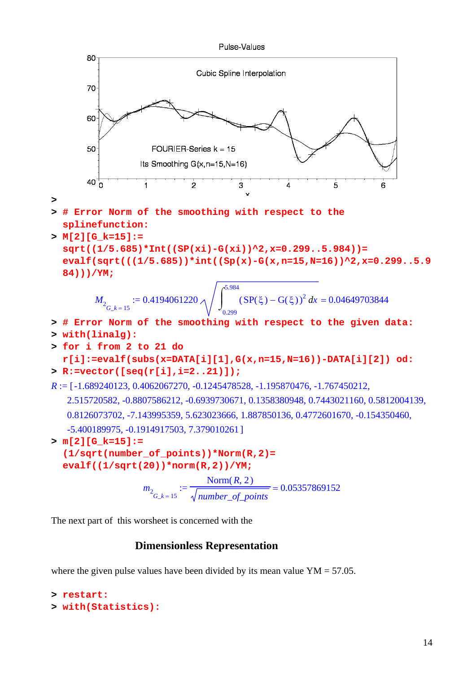

The next part of this worsheet is concerned with the

## **Dimensionless Representation**

where the given pulse values have been divided by its mean value  $YM = 57.05$ .

```
> restart: 
> with(Statistics):
```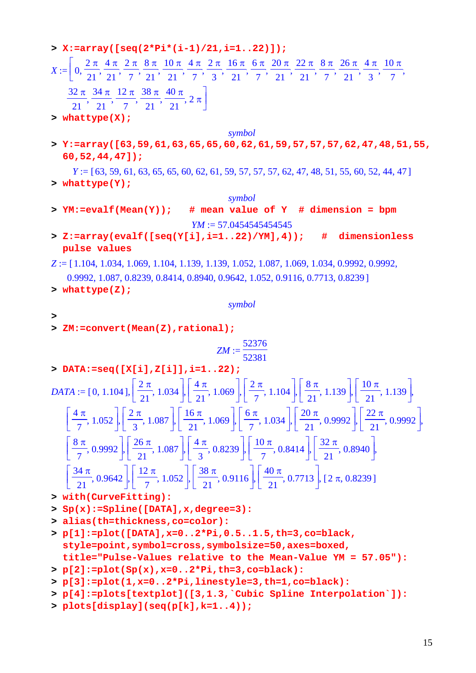**> X:=array([seq(2\*Pi\*(i-1)/21,i=1..22)]);**

#### $X := | 0$  $2 \pi$ 21 4 π 21  $2 \pi$ 7 8 π 21 10 π 21 4 π 7  $2 \pi$ 3 16 π 21 6 π 7 20 π 21 22 π 21 8 π 7 26 π 21 4 π 3  $\mathcal{I} := \left[ 0, \frac{2\pi}{21}, \frac{4\pi}{21}, \frac{2\pi}{7}, \frac{8\pi}{21}, \frac{10\pi}{21}, \frac{4\pi}{7}, \frac{2\pi}{3}, \frac{16\pi}{21}, \frac{6\pi}{7}, \frac{20\pi}{21}, \frac{22\pi}{21}, \frac{8\pi}{7}, \frac{26\pi}{21}, \frac{4\pi}{3}, \frac{10\pi}{7}, \frac{10\pi}{31}, \frac{10\pi}{31}, \frac{10\pi}{31}, \frac{10\pi}{31}, \frac{10\pi}{31}, \frac{$ 32 π 21 34 π 21 12 π 7 38 π 21 40 π  $\frac{1}{21},\frac{1}{7},\frac{1}{21},\frac{1}{21},\frac{1}{21},2\pi$ ⎤  $\overline{\phantom{a}}$ **> whattype(X);**

*symbol*

**> Y:=array([63,59,61,63,65,65,60,62,61,59,57,57,57,62,47,48,51,55, 60,52,44,47]);**

*Y* := [63, 59, 61, 63, 65, 65, 60, 62, 61, 59, 57, 57, 57, 62, 47, 48, 51, 55, 60, 52, 44, 47] **> whattype(Y);**

*symbol*

- **> YM:=evalf(Mean(Y)); # mean value of Y # dimension = bpm** *YM*  $:=$  57.0454545454545
- **> Z:=array(evalf([seq(Y[i],i=1..22)/YM],4)); # dimensionless pulse values**

*Z* := [1.104, 1.034, 1.069, 1.104, 1.139, 1.139, 1.052, 1.087, 1.069, 1.034, 0.9992, 0.9992,

- $0.9992, 1.087, 0.8239, 0.8414, 0.8940, 0.9642, 1.052, 0.9116, 0.7713, 0.8239$
- **> whattype(Z);**

*symbol*

- **>**
- **> ZM:=convert(Mean(Z),rational);**

$$
ZM:=\frac{52376}{52381}
$$

**> DATA:=seq([X[i],Z[i]],i=1..22);**

$$
DATA := [0, 1.104], \left[\frac{2\pi}{21}, 1.034\right], \left[\frac{4\pi}{21}, 1.069\right], \left[\frac{2\pi}{7}, 1.104\right], \left[\frac{8\pi}{21}, 1.139\right], \left[\frac{10\pi}{21}, 1.139\right],
$$
\n
$$
\left[\frac{4\pi}{7}, 1.052\right], \left[\frac{2\pi}{3}, 1.087\right], \left[\frac{16\pi}{21}, 1.069\right], \left[\frac{6\pi}{7}, 1.034\right], \left[\frac{20\pi}{21}, 0.9992\right], \left[\frac{22\pi}{21}, 0.9992\right],
$$
\n
$$
\left[\frac{8\pi}{7}, 0.9992\right], \left[\frac{26\pi}{21}, 1.087\right], \left[\frac{4\pi}{3}, 0.8239\right], \left[\frac{10\pi}{7}, 0.8414\right], \left[\frac{32\pi}{21}, 0.8940\right],
$$
\n
$$
\left[\frac{34\pi}{21}, 0.9642\right], \left[\frac{12\pi}{7}, 1.052\right], \left[\frac{38\pi}{21}, 0.9116\right], \left[\frac{40\pi}{21}, 0.7713\right], [2\pi, 0.8239]
$$

- **> with(CurveFitting):**
- **> Sp(x):=Spline([DATA],x,degree=3):**
- **> alias(th=thickness,co=color):**
- **> p[1]:=plot([DATA],x=0..2\*Pi,0.5..1.5,th=3,co=black, style=point,symbol=cross,symbolsize=50,axes=boxed, title="Pulse-Values relative to the Mean-Value YM = 57.05"):**
- **> p[2]:=plot(Sp(x),x=0..2\*Pi,th=3,co=black):**
- **> p[3]:=plot(1,x=0..2\*Pi,linestyle=3,th=1,co=black):**
- **> p[4]:=plots[textplot]([3,1.3,`Cubic Spline Interpolation`]):**
- **> plots[display](seq(p[k],k=1..4));**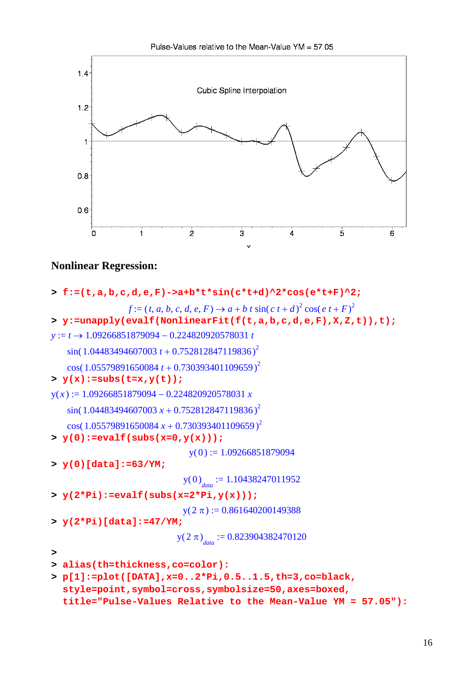

# **Nonlinear Regression:**

```
> f:=(t,a,b,c,d,e,F)->a+b*t*sin(c*t+d)^2*cos(e*t+F)^2;
                 f := (t, a, b, c, d, e, F) \rightarrow a + b t sin( c t + d)<sup>2</sup> cos( e t + F)<sup>2</sup>
> y:=unapply(evalf(NonlinearFit(f(t,a,b,c,d,e,F),X,Z,t)),t);
y := t \rightarrow 1.09266851879094 - 0.224820920578031 t\sin( 1.04483494607003 t + 0.752812847119836)^2\cos(1.05579891650084 t + 0.730393401109659)^2> y(x):=subs(t=x,y(t));
y(x) := 1.09266851879094 - 0.224820920578031 x\sin( 1.04483494607003 x + 0.752812847119836)^2\cos(1.05579891650084 x + 0.730393401109659)^2> y(0):=evalf(subs(x=0,y(x)));
                               y(0) := 1.09266851879094> y(0)[data]:=63/YM;
                              y(0)<sub>data</sub> := 1.10438247011952
> y(2*Pi):=evalf(subs(x=2*Pi,y(x)));
                             y( 2 \pi ) := 0.861640200149388> y(2*Pi)[data]:=47/YM;
                            y(2 \pi)<sub>data</sub> := 0.823904382470120
> 
> alias(th=thickness,co=color):
> p[1]:=plot([DATA],x=0..2*Pi,0.5..1.5,th=3,co=black, 
  style=point,symbol=cross,symbolsize=50,axes=boxed,
```

```
title="Pulse-Values Relative to the Mean-Value YM = 57.05"):
```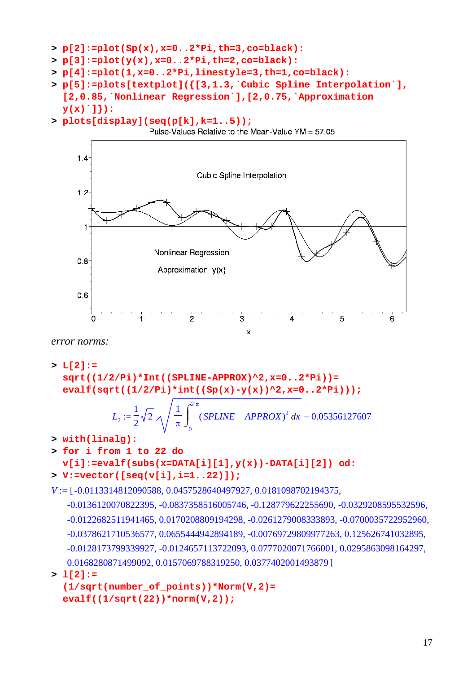```
> p[2]:=plot(Sp(x),x=0..2*Pi,th=3,co=black):
```
- **> p[3]:=plot(y(x),x=0..2\*Pi,th=2,co=black):**
- **> p[4]:=plot(1,x=0..2\*Pi,linestyle=3,th=1,co=black):**
- **> p[5]:=plots[textplot]({[3,1.3,`Cubic Spline Interpolation`], [2,0.85,`Nonlinear Regression`],[2,0.75,`Approximation y(x)`]}):**
- **> plots[display](seq(p[k],k=1..5));**



*error norms:*

```
> L[2]:= 
 sqrt((1/2/Pi)*Int((SPLINE-APPROX)^2,x=0..2*Pi))= 
 evalf(sqrt((1/2/Pi)*int((Sp(x)-y(x))^2,x=0..2*Pi)));
```

$$
L_2 := \frac{1}{2} \sqrt{2} \sqrt{\frac{1}{\pi} \int_0^{2\pi} (SPLINE - APPROX)^2 dx} = 0.05356127607
$$

- **> with(linalg):**
- **> for i from 1 to 22 do**

## **v[i]:=evalf(subs(x=DATA[i][1],y(x))-DATA[i][2]) od: > V:=vector([seq(v[i],i=1..22)]);**

```
V := [-0.0113314812090588, 0.0457528640497927, 0.0181098702194375,
```

```
-0.0136120070822395, -0.0837358516005746, -0.128779622255690, -0.0329208595532596,
-0.0122682511941465, 0.0170208809194298, -0.0261279008333893, -0.0700035722952960,
-0.0378621710536577, 0.0655444942894189, -0.00769729809977263, 0.125626741032895,
-0.0128173799339927, -0.0124657113722093, 0.0777020071766001, 0.0295863098164297,
0.0168280871499092, 0.0157069788319250, 0.0377402001493879]
```

```
> l[2]:=
```

```
(1/sqrt(number_of_points))*Norm(V,2)= 
evalf((1/sqrt(22))*norm(V,2));
```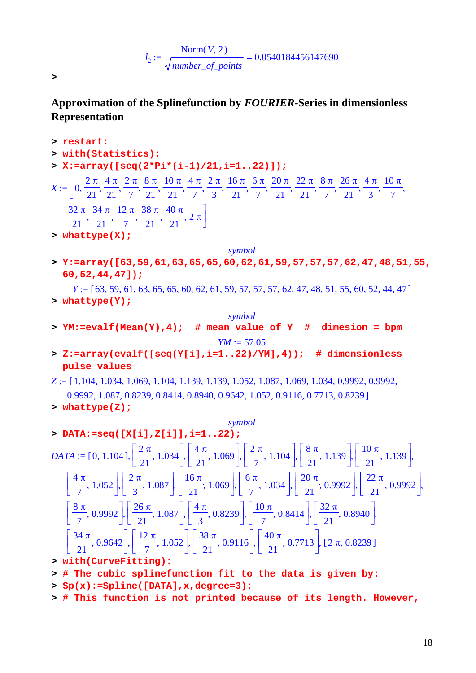$$
l_2 := \frac{\text{Norm}(V, 2)}{\sqrt{\text{number\_of\_points}}} = 0.0540184456147690
$$

**>** 

# **Approximation of the Splinefunction by** *FOURIER-***Series in dimensionless Representation**

- **> restart: > with(Statistics): > X:=array([seq(2\*Pi\*(i-1)/21,i=1..22)]);**  $X := | 0$  $2 \pi$ 21 4 π 21  $2 \pi$ 7 8 π 21 10 π 21 4 π 7  $2 \pi$ 3 16 π 21 6 π 7 20 π 21 22 π 21 8 π 7 26 π 21 4 π 3  $\mathcal{I} := \left[ 0, \frac{2\pi}{21}, \frac{4\pi}{21}, \frac{2\pi}{7}, \frac{8\pi}{21}, \frac{10\pi}{21}, \frac{4\pi}{7}, \frac{2\pi}{3}, \frac{16\pi}{21}, \frac{6\pi}{7}, \frac{20\pi}{21}, \frac{22\pi}{21}, \frac{8\pi}{7}, \frac{26\pi}{21}, \frac{4\pi}{3}, \frac{10\pi}{7}, \frac{10\pi}{31}, \frac{10\pi}{31}, \frac{10\pi}{31}, \frac{10\pi}{31}, \frac{10\pi}{31}, \frac{$ 32 π 21 34 π 21 12 π 7 38 π 21 40 π  $\frac{1}{21},\frac{2}{7},\frac{2}{21},\frac{2}{21},\frac{2}{21},\frac{2}{21}$ ⎤  $\overline{\phantom{a}}$ **> whattype(X);** *symbol* **> Y:=array([63,59,61,63,65,65,60,62,61,59,57,57,57,62,47,48,51,55, 60,52,44,47]);**  $Y = [63, 59, 61, 63, 65, 65, 60, 62, 61, 59, 57, 57, 57, 62, 47, 48, 51, 55, 60, 52, 44, 47]$ **> whattype(Y);** *symbol* **> YM:=evalf(Mean(Y),4); # mean value of Y # dimesion = bpm**  $YM := 57.05$ **> Z:=array(evalf([seq(Y[i],i=1..22)/YM],4)); # dimensionless pulse values** *Z* := [1.104, 1.034, 1.069, 1.104, 1.139, 1.139, 1.052, 1.087, 1.069, 1.034, 0.9992, 0.9992, 0.9992, 1.087, 0.8239, 0.8414, 0.8940, 0.9642, 1.052, 0.9116, 0.7713, 0.82391 **> whattype(Z);** *symbol* **> DATA:=seq([X[i],Z[i]],i=1..22);**  $DATA := [0, 1.104],$  $\left[\frac{2\pi}{21}, 1.034\right]$ 1.034  $\mathsf I$  $\left[\frac{4\pi}{21}, 1.069\right]$ 1.069  $\mathsf{L}$  $\left\lfloor \frac{2\pi}{7}, 1.104 \right\rfloor$ 1.104  $\mathsf I$  $\frac{8 \pi}{21}$ , 1.139 1.139  $\mathsf I$  $\left[\frac{10 \pi}{21}, 1.139\right]$  $:= [0, 1.104], \frac{1}{21}, 1.034], \frac{1}{21}, 1.069], \frac{1}{21}, 1.104, \frac{1}{21}, 1.139, \frac{1}{21}, \frac{1}{21}, 1.139, \frac{1}{21}$  $\mathsf{L}$  $\left\lfloor \frac{4\pi}{7}, 1.052 \right\rfloor$ 1.052  $\mathsf{L}$  $\left[\frac{2\pi}{3}, 1.087\right]$ 1.087  $\mathsf{L}$  $\left[\frac{16 \pi}{21}, 1.069\right]$ 1.069  $\mathsf{L}$  $\left\lfloor \frac{6\pi}{7}, 1.034 \right\rfloor$ 1.034  $\mathsf{L}$  $\left[\frac{20 \pi}{21}, 0.9992\right]$ 0.9992  $\mathsf{L}$  $\left[\frac{2\pi}{3}, 1.087\right], \left[\frac{16\pi}{21}, 1.069\right], \left[\frac{6\pi}{7}, 1.034\right], \left[\frac{20\pi}{21}, 0.9992\right], \left[\frac{22\pi}{21}, 0.9992\right],$  $\mathsf{L}$  $\left[\frac{8\,\pi}{7}, 0.9992\right]$ 0.9992  $\mathsf{L}$  $\left[\frac{26 \pi}{21}, 1.087\right]$ 1.087  $\mathsf{L}$  $\frac{4 \pi}{3}$ , 0.8239 0.8239  $\mathsf{L}$  $\left[\frac{10 \pi}{7}, 0.8414\right]$ 0.8414  $\mathsf{L}$  $\left[\frac{26 \pi}{21}, 1.087\right], \left[\frac{4 \pi}{3}, 0.8239\right], \left[\frac{10 \pi}{7}, 0.8414\right], \left[\frac{32 \pi}{21}, 0.8940\right],$  $\mathsf{L}$  $\left[\frac{34 \pi}{21}, 0.9642\right]$ 0.9642  $\mathsf{L}$  $\left[\frac{12 \pi}{7}, 1.052\right]$ 1.052  $\mathsf{L}$  $\left[\frac{38 \pi}{21}, 0.9116\right]$ 0.9116  $\mathsf{L}$  $\left[\frac{12 \pi}{7}, 1.052\right], \left[\frac{38 \pi}{21}, 0.9116\right], \left[\frac{40 \pi}{21}, 0.7713\right], [2 \pi, 0.8239]$ **> with(CurveFitting): > # The cubic splinefunction fit to the data is given by:**
- **> Sp(x):=Spline([DATA],x,degree=3):**
- **> # This function is not printed because of its length. However,**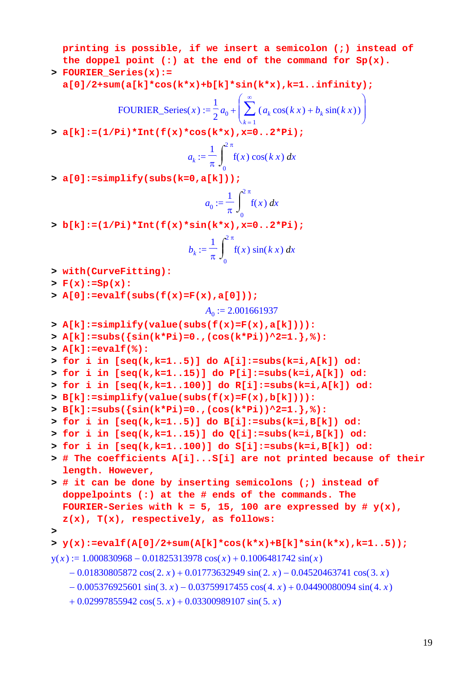**printing is possible, if we insert a semicolon (;) instead of the doppel point (:) at the end of the command for Sp(x).** 

**> FOURIER\_Series(x):=** 

**a[0]/2+sum(a[k]\*cos(k\*x)+b[k]\*sin(k\*x),k=1..infinity);**

FOURIER\_Series(x) := 
$$
\frac{1}{2}a_0 + \left(\sum_{k=1}^{\infty} (a_k \cos(kx) + b_k \sin(kx))\right)
$$

**> a[k]:=(1/Pi)\*Int(f(x)\*cos(k\*x),x=0..2\*Pi);**

$$
a_k := \frac{1}{\pi} \int_0^{2\pi} f(x) \cos(kx) dx
$$

**> a[0]:=simplify(subs(k=0,a[k]));**

$$
a_0 := \frac{1}{\pi} \int_0^{2\pi} f(x) \, dx
$$

**> b[k]:=(1/Pi)\*Int(f(x)\*sin(k\*x),x=0..2\*Pi);**

$$
b_k := \frac{1}{\pi} \int_0^{2\pi} f(x) \sin(kx) dx
$$

- **> with(CurveFitting):**
- **> F(x):=Sp(x):**
- **> A[0]:=evalf(subs(f(x)=F(x),a[0]));**

$$
A_0 := 2.001661937
$$

- **> A[k]:=simplify(value(subs(f(x)=F(x),a[k]))):**
- **> A[k]:=subs({sin(k\*Pi)=0.,(cos(k\*Pi))^2=1.},%):**
- **> A[k]:=evalf(%):**

```
> for i in [seq(k,k=1..5)] do A[i]:=subs(k=i,A[k]) od:
```

```
> for i in [seq(k,k=1..15)] do P[i]:=subs(k=i,A[k]) od:
```

```
> for i in [seq(k,k=1..100)] do R[i]:=subs(k=i,A[k]) od:
```

```
> B[k]:=simplify(value(subs(f(x)=F(x),b[k]))):
```

```
> B[k]:=subs({sin(k*Pi)=0.,(cos(k*Pi))^2=1.},%):
```

```
> for i in [seq(k,k=1..5)] do B[i]:=subs(k=i,B[k]) od:
```

```
> for i in [seq(k,k=1..15)] do Q[i]:=subs(k=i,B[k]) od:
```

```
> for i in [seq(k,k=1..100)] do S[i]:=subs(k=i,B[k]) od:
```
- **> # The coefficients A[i]...S[i] are not printed because of their length. However,**
- **> # it can be done by inserting semicolons (;) instead of doppelpoints (:) at the # ends of the commands. The**  FOURIER-Series with  $k = 5$ , 15, 100 are expressed by #  $y(x)$ , **z(x), T(x), respectively, as follows:**
- **>**

```
> y(x):=evalf(A[0]/2+sum(A[k]*cos(k*x)+B[k]*sin(k*x),k=1..5));
```

```
y(x) := 1.000830968 - 0.01825313978 \cos(x) + 0.1006481742 \sin(x)
```

```
-0.01830805872 \cos(2 \cdot x) + 0.01773632949 \sin(2 \cdot x) - 0.04520463741 \cos(3 \cdot x)
```

```
-0.005376925601 \sin(3. x) - 0.03759917455 \cos(4. x) + 0.04490080094 \sin(4. x)
```

```
+ 0.02997855942 \cos(5. x) + 0.03300989107 \sin(5. x)
```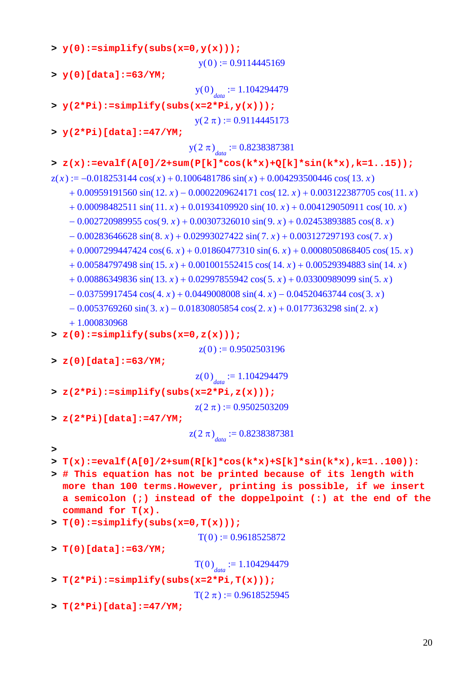**> y(0):=simplify(subs(x=0,y(x)));**  $y(0) := 0.9114445169$ **> y(0)[data]:=63/YM;**  $y(0)$ <sub>data</sub> := 1.104294479 **> y(2\*Pi):=simplify(subs(x=2\*Pi,y(x)));**  $y( 2 \pi ) := 0.9114445173$ **> y(2\*Pi)[data]:=47/YM;**  $y(2 \pi)$ <sub>data</sub> := 0.8238387381 **> z(x):=evalf(A[0]/2+sum(P[k]\*cos(k\*x)+Q[k]\*sin(k\*x),k=1..15));**  $z(x) := -0.018253144 \cos(x) + 0.1006481786 \sin(x) + 0.004293500446 \cos(13. x)$  $+ 0.00959191560 \sin(12. x) - 0.0002209624171 \cos(12. x) + 0.003122387705 \cos(11. x)$  $+ 0.00098482511 \sin( 11. x) + 0.01934109920 \sin( 10. x) + 0.004129050911 \cos( 10. x)$  $-0.002720989955 \cos(9, x) + 0.00307326010 \sin(9, x) + 0.02453893885 \cos(8, x)$  $-0.00283646628 \sin(8. x) + 0.02993027422 \sin(7. x) + 0.003127297193 \cos(7. x)$  $+ 0.0007299447424 \cos(6, x) + 0.01860477310 \sin(6, x) + 0.0008050868405 \cos(15, x)$  $+ 0.00584797498 \sin(15, x) + 0.001001552415 \cos(14, x) + 0.00529394883 \sin(14, x)$  $+ 0.00886349836 \sin(13. x) + 0.02997855942 \cos(5. x) + 0.03300989099 \sin(5. x)$  $-0.03759917454 \cos(4 \cdot x) + 0.0449008008 \sin(4 \cdot x) - 0.04520463744 \cos(3 \cdot x)$  $-0.0053769260 \sin(3 \cdot x) - 0.01830805854 \cos(2 \cdot x) + 0.0177363298 \sin(2 \cdot x)$  + 1.000830968 **> z(0):=simplify(subs(x=0,z(x)));**  $z( 0 ) := 0.9502503196$ **> z(0)[data]:=63/YM;**  $z(0)$ <sub>data</sub> := 1.104294479 **> z(2\*Pi):=simplify(subs(x=2\*Pi,z(x)));**  $z(2 \pi) := 0.9502503209$ **> z(2\*Pi)[data]:=47/YM;**  $\left( 2 \pi \right)_{data} := 0.8238387381$ **> > T(x):=evalf(A[0]/2+sum(R[k]\*cos(k\*x)+S[k]\*sin(k\*x),k=1..100)): > # This equation has not be printed because of its length with more than 100 terms.However, printing is possible, if we insert a semicolon (;) instead of the doppelpoint (:) at the end of the command for T(x). > T(0):=simplify(subs(x=0,T(x)));**  $T(0) := 0.9618525872$ **> T(0)[data]:=63/YM;**  $T(0)$ <sub>data</sub> := 1.104294479 **> T(2\*Pi):=simplify(subs(x=2\*Pi,T(x)));**  $T(2 \pi) := 0.9618525945$ **> T(2\*Pi)[data]:=47/YM;**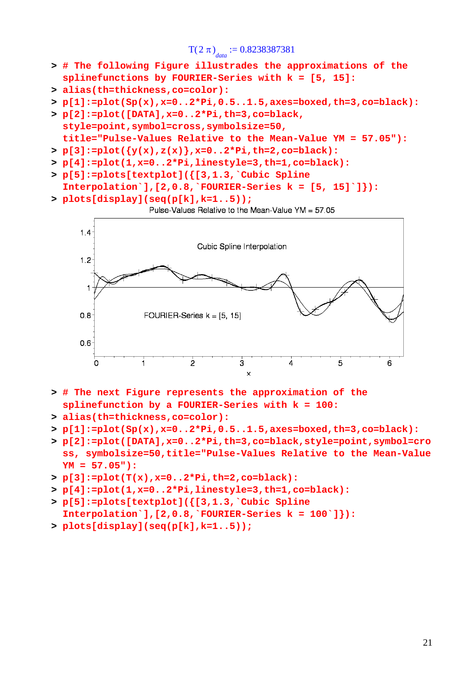$T(2 \pi)$ <sub>data</sub> := 0.8238387381

- **> # The following Figure illustrades the approximations of the splinefunctions by FOURIER-Series with k = [5, 15]:**
- **> alias(th=thickness,co=color):**
- **> p[1]:=plot(Sp(x),x=0..2\*Pi,0.5..1.5,axes=boxed,th=3,co=black):**
- **> p[2]:=plot([DATA],x=0..2\*Pi,th=3,co=black, style=point,symbol=cross,symbolsize=50, title="Pulse-Values Relative to the Mean-Value YM = 57.05"):**
- **> p[3]:=plot({y(x),z(x)},x=0..2\*Pi,th=2,co=black):**
- **> p[4]:=plot(1,x=0..2\*Pi,linestyle=3,th=1,co=black):**
- **> p[5]:=plots[textplot]({[3,1.3,`Cubic Spline Interpolation`],[2,0.8,`FOURIER-Series k = [5, 15]`]}):**
- **> plots[display](seq(p[k],k=1..5));**
	- Pulse-Values Relative to the Mean-Value YM = 57.05



- **> # The next Figure represents the approximation of the splinefunction by a FOURIER-Series with k = 100:**
- **> alias(th=thickness,co=color):**
- **> p[1]:=plot(Sp(x),x=0..2\*Pi,0.5..1.5,axes=boxed,th=3,co=black):**
- **> p[2]:=plot([DATA],x=0..2\*Pi,th=3,co=black,style=point,symbol=cro ss, symbolsize=50,title="Pulse-Values Relative to the Mean-Value YM = 57.05"):**
- **> p[3]:=plot(T(x),x=0..2\*Pi,th=2,co=black):**
- **> p[4]:=plot(1,x=0..2\*Pi,linestyle=3,th=1,co=black):**
- **> p[5]:=plots[textplot]({[3,1.3,`Cubic Spline Interpolation`],[2,0.8,`FOURIER-Series k = 100`]}):**
- **> plots[display](seq(p[k],k=1..5));**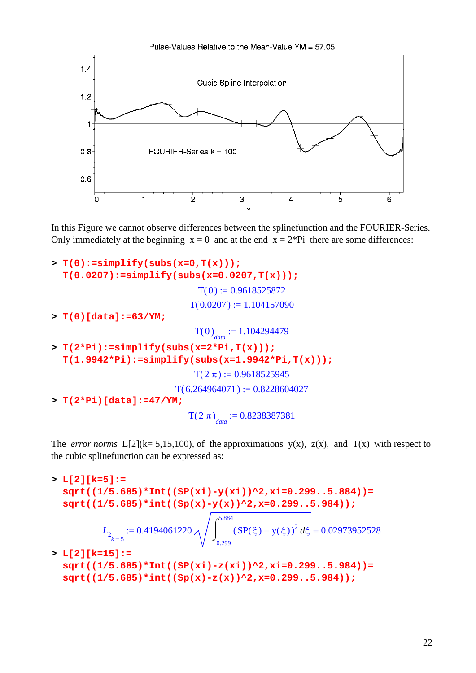

In this Figure we cannot observe differences between the splinefunction and the FOURIER-Series. Only immediately at the beginning  $x = 0$  and at the end  $x = 2*Pi$  there are some differences:

```
> T(0):=simplify(subs(x=0,T(x))); 
  T(0.0207):=simplify(subs(x=0.0207,T(x)));
                               T(0) := 0.9618525872T( 0.0207 ) := 1.104157090> T(0)[data]:=63/YM;
                              T(0)<sub>data</sub> := 1.104294479
> T(2*Pi):=simplify(subs(x=2*Pi,T(x))); 
  T(1.9942*Pi):=simplify(subs(x=1.9942*Pi,T(x)));
                              T(2 \pi) := 0.9618525945T(6.264964071) := 0.8228604027> T(2*Pi)[data]:=47/YM;
                             T(2 \pi)<sub>data</sub> := 0.8238387381
```
The *error norms*  $L[2](k= 5,15,100)$ , of the approximations  $y(x)$ ,  $z(x)$ , and  $T(x)$  with respect to the cubic splinefunction can be expressed as:

**> L[2][k=5]:= sqrt((1/5.685)\*Int((SP(xi)-y(xi))^2,xi=0.299..5.884))= sqrt((1/5.685)\*int((Sp(x)-y(x))^2,x=0.299..5.984));**  $L_{2_{k=5}} :=$  $0.4194061220 \wedge$  |  $(SP(\xi) - y(\xi))^2 d\xi =$  $\int$  $\int$ 0.299 5.884  $(SP(\xi) - y(\xi))^2 d\xi = 0.02973952528$ **> L[2][k=15]:= sqrt((1/5.685)\*Int((SP(xi)-z(xi))^2,xi=0.299..5.984))= sqrt((1/5.685)\*int((Sp(x)-z(x))^2,x=0.299..5.984));**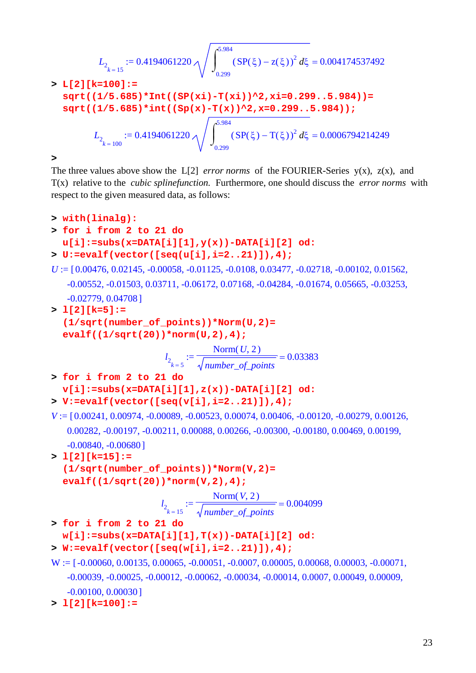$$
L_{2_{k=15}} := 0.4194061220 \sqrt{\int_{0.299}^{5.984} (SP(\xi) - z(\xi))^2 d\xi} = 0.004174537492
$$

> L[2][k=100]:=\n sqrt((1/5.685)\*Int((SP(xi) - T(xi))^2, xi=0.299..5.984))=\n sqrt((1/5.685)\*int((Sp(x) - T(x))^2, x=0.299..5.984));\n\n
$$
L_{2_{k=100}} := 0.4194061220 \sqrt{\int_{0.299}^{5.984} (SP(\xi) - T(\xi))^2 d\xi} = 0.0006794214249
$$

**>** 

The three values above show the  $L[2]$  *error norms* of the FOURIER-Series y(x),  $z(x)$ , and T(x) relative to the *cubic splinefunction.* Furthermore, one should discuss the *error norms* with respect to the given measured data, as follows:

```
> with(linalg):
> for i from 2 to 21 do 
  u[i]:=subs(x=DATA[i][1],y(x))-DATA[i][2] od:
> U:=evalf(vector([seq(u[i],i=2..21)]),4);
U := [0.00476, 0.02145, -0.00058, -0.01125, -0.0108, 0.03477, -0.02718, -0.00102, 0.01562,-0.00552, -0.01503, 0.03711, -0.06172, 0.07168, -0.04284, -0.01674, 0.05665, -0.03253,
   -0.02779, 0.04708]
> l[2][k=5]:= 
  (1/sqrt(number_of_points))*Norm(U,2)= 
  evalf((1/sqrt(20))*norm(U,2),4);
                        l_{2_{k=5}} := = 
                                   Norm(U, 2)number_of_points
                                                   0.03383
> for i from 2 to 21 do 
  v[i]:=subs(x=DATA[i][1],z(x))-DATA[i][2] od:
> V:=evalf(vector([seq(v[i],i=2..21)]),4);
V := [0.00241, 0.00974, -0.00089, -0.00523, 0.00074, 0.00406, -0.00120, -0.00279, 0.00126,0.00282, -0.00197, -0.00211, 0.00088, 0.00266, -0.00300, -0.00180, 0.00469, 0.00199,
   -0.00840, -0.00680]
> l[2][k=15]:= 
  (1/sqrt(number_of_points))*Norm(V,2)= 
  evalf((1/sqrt(20))*norm(V,2),4);
                       l_{2_{k=15}} := = 
                                   Norm(V, 2)number_of_points
                                                   0.004099
> for i from 2 to 21 do 
  w[i]:=subs(x=DATA[i][1],T(x))-DATA[i][2] od:
> W:=evalf(vector([seq(w[i],i=2..21)]),4);
W := [-0.00060, 0.00135, 0.00065, -0.00051, -0.0007, 0.00005, 0.00068, 0.00003, -0.00071,-0.00039, -0.00025, -0.00012, -0.00062, -0.00034, -0.00014, 0.0007, 0.00049, 0.00009,-0.00100, 0.00030]
```

```
> l[2][k=100]:=
```